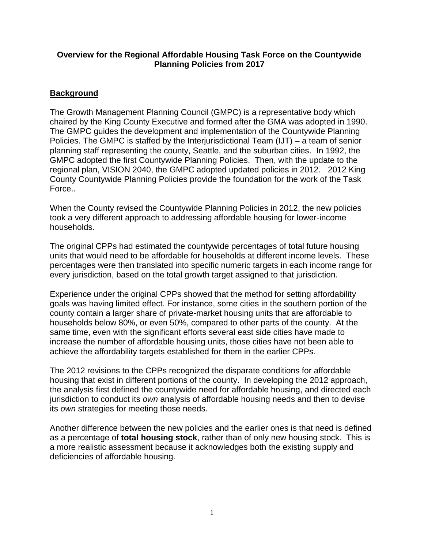## **Overview for the Regional Affordable Housing Task Force on the Countywide Planning Policies from 2017**

## **Background**

The Growth Management Planning Council (GMPC) is a representative body which chaired by the King County Executive and formed after the GMA was adopted in 1990. The GMPC guides the development and implementation of the Countywide Planning Policies. The GMPC is staffed by the Interjurisdictional Team (IJT) – a team of senior planning staff representing the county, Seattle, and the suburban cities. In 1992, the GMPC adopted the first Countywide Planning Policies. Then, with the update to the regional plan, VISION 2040, the GMPC adopted updated policies in 2012. 2012 King County Countywide Planning Policies provide the foundation for the work of the Task Force..

When the County revised the Countywide Planning Policies in 2012, the new policies took a very different approach to addressing affordable housing for lower-income households.

The original CPPs had estimated the countywide percentages of total future housing units that would need to be affordable for households at different income levels. These percentages were then translated into specific numeric targets in each income range for every jurisdiction, based on the total growth target assigned to that jurisdiction.

Experience under the original CPPs showed that the method for setting affordability goals was having limited effect. For instance, some cities in the southern portion of the county contain a larger share of private-market housing units that are affordable to households below 80%, or even 50%, compared to other parts of the county. At the same time, even with the significant efforts several east side cities have made to increase the number of affordable housing units, those cities have not been able to achieve the affordability targets established for them in the earlier CPPs.

The 2012 revisions to the CPPs recognized the disparate conditions for affordable housing that exist in different portions of the county. In developing the 2012 approach, the analysis first defined the countywide need for affordable housing, and directed each jurisdiction to conduct its *own* analysis of affordable housing needs and then to devise its *own* strategies for meeting those needs.

Another difference between the new policies and the earlier ones is that need is defined as a percentage of **total housing stock**, rather than of only new housing stock. This is a more realistic assessment because it acknowledges both the existing supply and deficiencies of affordable housing.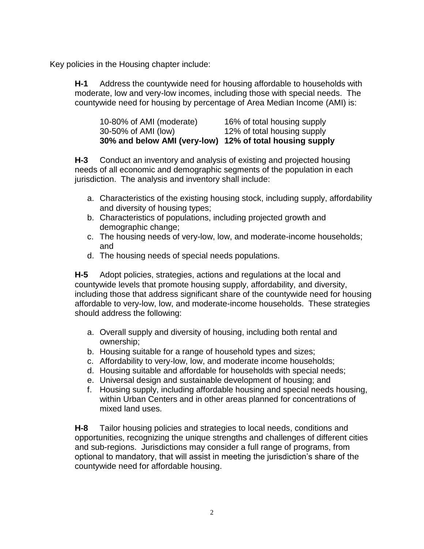Key policies in the Housing chapter include:

**H-1** Address the countywide need for housing affordable to households with moderate, low and very-low incomes, including those with special needs. The countywide need for housing by percentage of Area Median Income (AMI) is:

| 30% and below AMI (very-low) 12% of total housing supply |                             |
|----------------------------------------------------------|-----------------------------|
| 30-50% of AMI (low)                                      | 12% of total housing supply |
| 10-80% of AMI (moderate)                                 | 16% of total housing supply |

**H-3** Conduct an inventory and analysis of existing and projected housing needs of all economic and demographic segments of the population in each jurisdiction. The analysis and inventory shall include:

- a. Characteristics of the existing housing stock, including supply, affordability and diversity of housing types;
- b. Characteristics of populations, including projected growth and demographic change;
- c. The housing needs of very-low, low, and moderate-income households; and
- d. The housing needs of special needs populations.

**H-5** Adopt policies, strategies, actions and regulations at the local and countywide levels that promote housing supply, affordability, and diversity, including those that address significant share of the countywide need for housing affordable to very-low, low, and moderate-income households. These strategies should address the following:

- a. Overall supply and diversity of housing, including both rental and ownership;
- b. Housing suitable for a range of household types and sizes;
- c. Affordability to very-low, low, and moderate income households;
- d. Housing suitable and affordable for households with special needs;
- e. Universal design and sustainable development of housing; and
- f. Housing supply, including affordable housing and special needs housing, within Urban Centers and in other areas planned for concentrations of mixed land uses.

**H-8** Tailor housing policies and strategies to local needs, conditions and opportunities, recognizing the unique strengths and challenges of different cities and sub-regions. Jurisdictions may consider a full range of programs, from optional to mandatory, that will assist in meeting the jurisdiction's share of the countywide need for affordable housing.